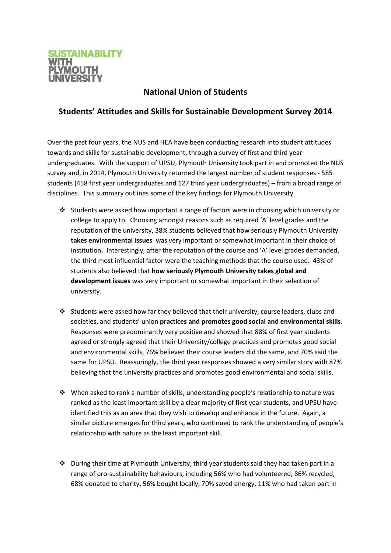

## **National Union of Students**

## **Students' Attitudes and Skills for Sustainable Development Survey 2014**

Over the past four years, the NUS and HEA have been conducting research into student attitudes towards and skills for sustainable development, through a survey of first and third year undergraduates. With the support of UPSU, Plymouth University took part in and promoted the NUS survey and, in 2014, Plymouth University returned the largest number of student responses - 585 students (458 first year undergraduates and 127 third year undergraduates) – from a broad range of disciplines. This summary outlines some of the key findings for Plymouth University.

- Students were asked how important a range of factors were in choosing which university or college to apply to. Choosing amongst reasons such as required 'A' level grades and the reputation of the university, 38% students believed that how seriously Plymouth University **takes environmental issues** was very important or somewhat important in their choice of institution**.** Interestingly, after the reputation of the course and 'A' level grades demanded, the third most influential factor were the teaching methods that the course used. 43% of students also believed that **how seriously Plymouth University takes global and development issues** was very important or somewhat important in their selection of university.
- $\cdot$  Students were asked how far they believed that their university, course leaders, clubs and societies, and students' union **practices and promotes good social and environmental skills**. Responses were predominantly very positive and showed that 88% of first year students agreed or strongly agreed that their University/college practices and promotes good social and environmental skills, 76% believed their course leaders did the same, and 70% said the same for UPSU. Reassuringly, the third year responses showed a very similar story with 87% believing that the university practices and promotes good environmental and social skills.
- $\cdot \cdot$  When asked to rank a number of skills, understanding people's relationship to nature was ranked as the least important skill by a clear majority of first year students, and UPSU have identified this as an area that they wish to develop and enhance in the future. Again, a similar picture emerges for third years, who continued to rank the understanding of people's relationship with nature as the least important skill.
- $\cdot \cdot$  During their time at Plymouth University, third year students said they had taken part in a range of pro-sustainability behaviours, including 56% who had volunteered, 86% recycled, 68% donated to charity, 56% bought locally, 70% saved energy, 11% who had taken part in